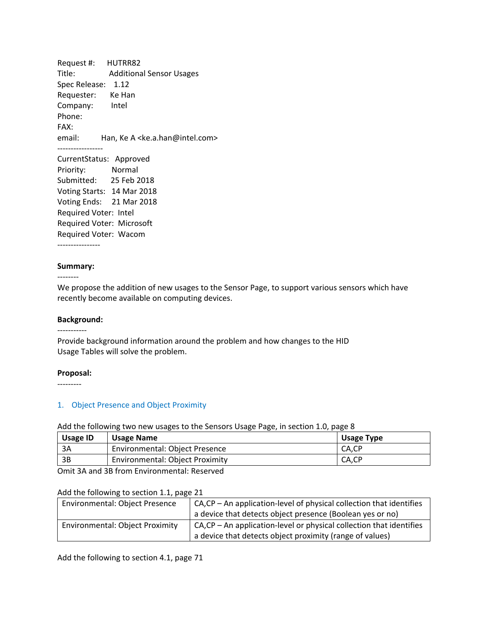Request #: HUTRR82 Title: Additional Sensor Usages Spec Release: 1.12 Requester: Ke Han Company: Intel Phone: FAX: email: Han, Ke A <ke.a.han@intel.com> ‐‐‐‐‐‐‐‐‐‐‐‐‐‐‐‐‐ CurrentStatus: Approved Priority: Normal Submitted: 25 Feb 2018 Voting Starts: 14 Mar 2018 Voting Ends: 21 Mar 2018 Required Voter: Intel Required Voter: Microsoft Required Voter: Wacom

‐‐‐‐‐‐‐‐‐‐‐‐‐‐‐‐

#### **Summary:**

‐‐‐‐‐‐‐‐

We propose the addition of new usages to the Sensor Page, to support various sensors which have recently become available on computing devices.

#### **Background:**

–––––––––<br>–

Provide background information around the problem and how changes to the HID Usage Tables will solve the problem.

#### **Proposal:**

‐‐‐‐‐‐‐‐‐

### 1. Object Presence and Object Proximity

#### Add the following two new usages to the Sensors Usage Page, in section 1.0, page 8

| <b>Usage ID</b> | <b>Usage Name</b>                      | Usage Type |
|-----------------|----------------------------------------|------------|
| 3A              | Environmental: Object Presence         | CA.CP      |
| 3B              | <b>Environmental: Object Proximity</b> | CA,CP      |

Omit 3A and 3B from Environmental: Reserved

### Add the following to section 1.1, page 21

| <b>Environmental: Object Presence</b>  | $CA, CP - An application-level of physical collection that identifies$<br>a device that detects object presence (Boolean yes or no) |
|----------------------------------------|-------------------------------------------------------------------------------------------------------------------------------------|
| <b>Environmental: Object Proximity</b> | $CA, CP - An application-level or physical collection that identifies$<br>a device that detects object proximity (range of values)  |

Add the following to section 4.1, page 71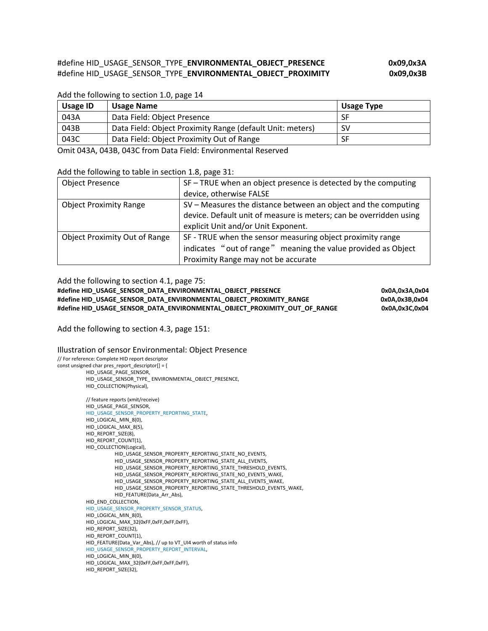# #define HID\_USAGE\_SENSOR\_TYPE\_**ENVIRONMENTAL\_OBJECT\_PRESENCE 0x09,0x3A**  #define HID\_USAGE\_SENSOR\_TYPE\_**ENVIRONMENTAL\_OBJECT\_PROXIMITY 0x09,0x3B**

#### Add the following to section 1.0, page 14

| Usage ID | Usage Name                                                | Usage Type |
|----------|-----------------------------------------------------------|------------|
| 043A     | Data Field: Object Presence                               | SF         |
| 043B     | Data Field: Object Proximity Range (default Unit: meters) | SV         |
| 043C     | Data Field: Object Proximity Out of Range                 | SF         |

Omit 043A, 043B, 043C from Data Field: Environmental Reserved

#### Add the following to table in section 1.8, page 31:

| <b>Object Presence</b>               | SF – TRUE when an object presence is detected by the computing     |
|--------------------------------------|--------------------------------------------------------------------|
|                                      | device, otherwise FALSE                                            |
| <b>Object Proximity Range</b>        | SV - Measures the distance between an object and the computing     |
|                                      | device. Default unit of measure is meters; can be overridden using |
|                                      | explicit Unit and/or Unit Exponent.                                |
| <b>Object Proximity Out of Range</b> | SF - TRUE when the sensor measuring object proximity range         |
|                                      | indicates "out of range" meaning the value provided as Object      |
|                                      | Proximity Range may not be accurate                                |

Add the following to section 4.1, page 75:

**#define HID\_USAGE\_SENSOR\_DATA\_ENVIRONMENTAL\_OBJECT\_PRESENCE 0x0A,0x3A,0x04 #define HID\_USAGE\_SENSOR\_DATA\_ENVIRONMENTAL\_OBJECT\_PROXIMITY\_RANGE 0x0A,0x3B,0x04 #define HID\_USAGE\_SENSOR\_DATA\_ENVIRONMENTAL\_OBJECT\_PROXIMITY\_OUT\_OF\_RANGE 0x0A,0x3C,0x04** 

Add the following to section 4.3, page 151:

#### Illustration of sensor Environmental: Object Presence

// For reference: Complete HID report descriptor const unsigned char pres\_report\_descriptor[] = { HID\_USAGE\_PAGE\_SENSOR, HID\_USAGE\_SENSOR\_TYPE\_ ENVIRONMENTAL\_OBJECT\_PRESENCE, HID\_COLLECTION(Physical), // feature reports (xmit/receive) HID\_USAGE\_PAGE\_SENSOR, HID\_USAGE\_SENSOR\_PROPERTY\_REPORTING\_STATE, HID\_LOGICAL\_MIN\_8(0), HID\_LOGICAL\_MAX\_8(5), HID\_REPORT\_SIZE(8), HID\_REPORT\_COUNT(1). HID\_COLLECTION(Logical), HID\_USAGE\_SENSOR\_PROPERTY\_REPORTING\_STATE\_NO\_EVENTS, HID\_USAGE\_SENSOR\_PROPERTY\_REPORTING\_STATE\_ALL\_EVENTS, HID\_USAGE\_SENSOR\_PROPERTY\_REPORTING\_STATE\_THRESHOLD\_EVENTS, HID\_USAGE\_SENSOR\_PROPERTY\_REPORTING\_STATE\_NO\_EVENTS\_WAKE, HID\_USAGE\_SENSOR\_PROPERTY\_REPORTING\_STATE\_ALL\_EVENTS\_WAKE, HID\_USAGE\_SENSOR\_PROPERTY\_REPORTING\_STATE\_THRESHOLD\_EVENTS\_WAKE, HID\_FEATURE(Data\_Arr\_Abs), HID\_END\_COLLECTION, HID\_USAGE\_SENSOR\_PROPERTY\_SENSOR\_STATUS, HID\_LOGICAL\_MIN\_8(0), HID\_LOGICAL\_MAX\_32(0xFF,0xFF,0xFF,0xFF), HID\_REPORT\_SIZE(32), HID\_REPORT\_COUNT(1), HID\_FEATURE(Data\_Var\_Abs), // up to VT\_UI4 worth of status info HID\_USAGE\_SENSOR\_PROPERTY\_REPORT\_INTERVAL, HID\_LOGICAL\_MIN\_8(0), HID\_LOGICAL\_MAX\_32(0xFF,0xFF,0xFF,0xFF), HID\_REPORT\_SIZE(32),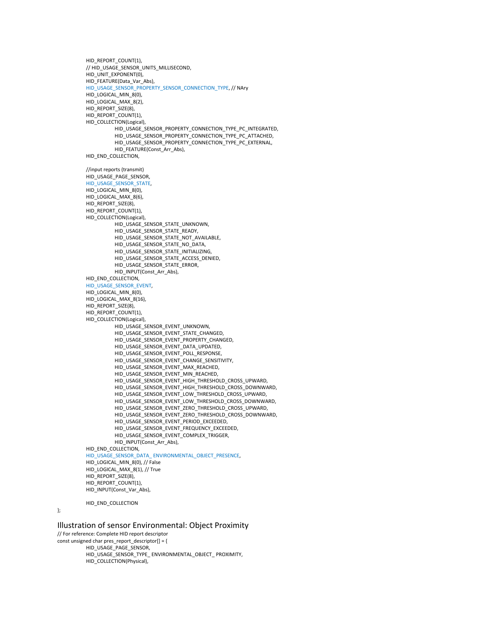```
HID_REPORT_COUNT(1), 
// HID_USAGE_SENSOR_UNITS_MILLISECOND,
HID_UNIT_EXPONENT(0), 
HID_FEATURE(Data_Var_Abs), 
HID_USAGE_SENSOR_PROPERTY_SENSOR_CONNECTION_TYPE, // NAry 
HID_LOGICAL_MIN_8(0),
HID_LOGICAL_MAX_8(2),
HID_REPORT_SIZE(8), 
HID_REPORT_COUNT(1), 
HID_COLLECTION(Logical),
          HID_USAGE_SENSOR_PROPERTY_CONNECTION_TYPE_PC_INTEGRATED,
          HID_USAGE_SENSOR_PROPERTY_CONNECTION_TYPE_PC_ATTACHED, 
          HID_USAGE_SENSOR_PROPERTY_CONNECTION_TYPE_PC_EXTERNAL, 
          HID_FEATURE(Const_Arr_Abs), 
HID_END_COLLECTION,
//input reports (transmit) 
HID_USAGE_PAGE_SENSOR, 
HID_USAGE_SENSOR_STATE,
HID_LOGICAL_MIN_8(0),
HID_LOGICAL_MAX_8(6), 
HID_REPORT_SIZE(8), 
HID_REPORT_COUNT(1),
HID_COLLECTION(Logical), 
          HID_USAGE_SENSOR_STATE_UNKNOWN, 
          HID_USAGE_SENSOR_STATE_READY, 
          HID_USAGE_SENSOR_STATE_NOT_AVAILABLE, 
          HID_USAGE_SENSOR_STATE_NO_DATA,
          HID_USAGE_SENSOR_STATE_INITIALIZING,
          HID_USAGE_SENSOR_STATE_ACCESS_DENIED, 
          HID_USAGE_SENSOR_STATE_ERROR, 
          HID_INPUT(Const_Arr_Abs),
HID_END_COLLECTION.
HID_USAGE_SENSOR_EVENT, 
HID_LOGICAL_MIN_8(0), 
HID_LOGICAL_MAX_8(16),
HID_REPORT_SIZE(8).
HID_REPORT_COUNT(1),
HID_COLLECTION(Logical), 
          HID_USAGE_SENSOR_EVENT_UNKNOWN,
          HID_USAGE_SENSOR_EVENT_STATE_CHANGED, 
          HID_USAGE_SENSOR_EVENT_PROPERTY_CHANGED, 
          HID_USAGE_SENSOR_EVENT_DATA_UPDATED, 
          HID_USAGE_SENSOR_EVENT_POLL_RESPONSE,
          HID_USAGE_SENSOR_EVENT_CHANGE_SENSITIVITY,
          HID_USAGE_SENSOR_EVENT_MAX_REACHED, 
          HID_USAGE_SENSOR_EVENT_MIN_REACHED,
          HID_USAGE_SENSOR_EVENT_HIGH_THRESHOLD_CROSS_UPWARD, 
          HID_USAGE_SENSOR_EVENT_HIGH_THRESHOLD_CROSS_DOWNWARD,
          HID_USAGE_SENSOR_EVENT_LOW_THRESHOLD_CROSS_UPWARD,
          HID_USAGE_SENSOR_EVENT_LOW_THRESHOLD_CROSS_DOWNWARD, 
          HID_USAGE_SENSOR_EVENT_ZERO_THRESHOLD_CROSS_UPWARD, 
          HID_USAGE_SENSOR_EVENT_ZERO_THRESHOLD_CROSS_DOWNWARD,
          HID_USAGE_SENSOR_EVENT_PERIOD_EXCEEDED, 
          HID_USAGE_SENSOR_EVENT_FREQUENCY_EXCEEDED, 
          HID_USAGE_SENSOR_EVENT_COMPLEX_TRIGGER, 
          HID_INPUT(Const_Arr_Abs), 
HID_END_COLLECTION,
HID_USAGE_SENSOR_DATA_ ENVIRONMENTAL_OBJECT_PRESENCE, 
HID_LOGICAL_MIN_8(0), // False 
HID_LOGICAL_MAX_8(1), // True 
HID_REPORT_SIZE(8),
HID_REPORT_COUNT(1),
HID_INPUT(Const_Var_Abs),
```
HID\_END\_COLLECTION

};

Illustration of sensor Environmental: Object Proximity

// For reference: Complete HID report descriptor const unsigned char pres\_report\_descriptor[] = { HID\_USAGE\_PAGE\_SENSOR, HID\_USAGE\_SENSOR\_TYPE\_ ENVIRONMENTAL\_OBJECT\_ PROXIMITY, HID\_COLLECTION(Physical),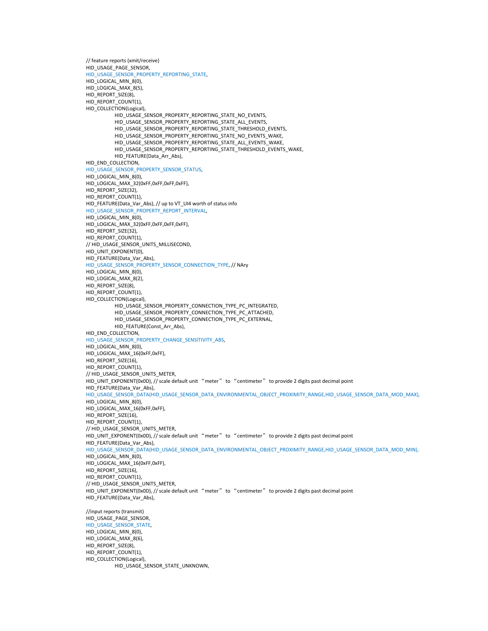// feature reports (xmit/receive) HID\_USAGE\_PAGE\_SENSOR, HID\_USAGE\_SENSOR\_PROPERTY\_REPORTING\_STATE, HID\_LOGICAL\_MIN\_8(0), HID\_LOGICAL\_MAX\_8(5), HID\_REPORT\_SIZE(8), HID\_REPORT\_COUNT(1), HID\_COLLECTION(Logical), HID\_USAGE\_SENSOR\_PROPERTY\_REPORTING\_STATE\_NO\_EVENTS, HID\_USAGE\_SENSOR\_PROPERTY\_REPORTING\_STATE\_ALL\_EVENTS, HID\_USAGE\_SENSOR\_PROPERTY\_REPORTING\_STATE\_THRESHOLD\_EVENTS, HID\_USAGE\_SENSOR\_PROPERTY\_REPORTING\_STATE\_NO\_EVENTS\_WAKE, HID\_USAGE\_SENSOR\_PROPERTY\_REPORTING\_STATE\_ALL\_EVENTS\_WAKE, HID\_USAGE\_SENSOR\_PROPERTY\_REPORTING\_STATE\_THRESHOLD\_EVENTS\_WAKE, HID\_FEATURE(Data\_Arr\_Abs), HID\_END\_COLLECTION, HID\_USAGE\_SENSOR\_PROPERTY\_SENSOR\_STATUS, HID\_LOGICAL\_MIN\_8(0), HID\_LOGICAL\_MAX\_32(0xFF,0xFF,0xFF,0xFF), HID\_REPORT\_SIZE(32), HID\_REPORT\_COUNT(1), HID\_FEATURE(Data\_Var\_Abs), // up to VT\_UI4 worth of status info HID\_USAGE\_SENSOR\_PROPERTY\_REPORT\_INTERVAL, HID\_LOGICAL\_MIN\_8(0), HID\_LOGICAL\_MAX\_32(0xFF,0xFF,0xFF,0xFF), HID\_REPORT\_SIZE(32), HID\_REPORT\_COUNT(1), // HID\_USAGE\_SENSOR\_UNITS\_MILLISECOND, HID\_UNIT\_EXPONENT(0), HID\_FEATURE(Data\_Var\_Abs), HID\_USAGE\_SENSOR\_PROPERTY\_SENSOR\_CONNECTION\_TYPE, // NAry HID\_LOGICAL\_MIN\_8(0), HID\_LOGICAL\_MAX\_8(2), HID\_REPORT\_SIZE(8), HID\_REPORT\_COUNT(1), HID\_COLLECTION(Logical), HID\_USAGE\_SENSOR\_PROPERTY\_CONNECTION\_TYPE\_PC\_INTEGRATED, HID\_USAGE\_SENSOR\_PROPERTY\_CONNECTION\_TYPE\_PC\_ATTACHED, HID\_USAGE\_SENSOR\_PROPERTY\_CONNECTION\_TYPE\_PC\_EXTERNAL, HID\_FEATURE(Const\_Arr\_Abs), HID\_END\_COLLECTION, HID\_USAGE\_SENSOR\_PROPERTY\_CHANGE\_SENSITIVITY\_ABS, HID\_LOGICAL\_MIN\_8(0), HID\_LOGICAL\_MAX\_16(0xFF,0xFF), HID\_REPORT\_SIZE(16), HID\_REPORT\_COUNT(1), // HID\_USAGE\_SENSOR\_UNITS\_METER, HID\_UNIT\_EXPONENT(0x0D), // scale default unit "meter" to "centimeter" to provide 2 digits past decimal point HID\_FEATURE(Data\_Var\_Abs), HID\_USAGE\_SENSOR\_DATA(HID\_USAGE\_SENSOR\_DATA\_ENVIRONMENTAL\_OBJECT\_PROXIMITY\_RANGE,HID\_USAGE\_SENSOR\_DATA\_MOD\_MAX), HID\_LOGICAL\_MIN\_8(0), HID\_LOGICAL\_MAX\_16(0xFF,0xFF), HID\_REPORT\_SIZE(16), HID\_REPORT\_COUNT(1), // HID\_USAGE\_SENSOR\_UNITS\_METER, HID\_UNIT\_EXPONENT(0x0D), // scale default unit "meter" to "centimeter" to provide 2 digits past decimal point HID\_FEATURE(Data\_Var\_Abs), HID\_USAGE\_SENSOR\_DATA(HID\_USAGE\_SENSOR\_DATA\_ENVIRONMENTAL\_OBJECT\_PROXIMITY\_RANGE,HID\_USAGE\_SENSOR\_DATA\_MOD\_MIN), HID\_LOGICAL\_MIN\_8(0), HID\_LOGICAL\_MAX\_16(0xFF,0xFF), HID\_REPORT\_SIZE(16), HID\_REPORT\_COUNT(1), // HID\_USAGE\_SENSOR\_UNITS\_METER, HID\_UNIT\_EXPONENT(0x0D), // scale default unit "meter" to "centimeter" to provide 2 digits past decimal point HID\_FEATURE(Data\_Var\_Abs), //input reports (transmit) HID\_USAGE\_PAGE\_SENSOR, HID\_USAGE\_SENSOR\_STATE, HID\_LOGICAL\_MIN\_8(0), HID\_LOGICAL\_MAX\_8(6), HID\_REPORT\_SIZE(8). HID\_REPORT\_COUNT(1), HID\_COLLECTION(Logical), HID\_USAGE\_SENSOR\_STATE\_UNKNOWN,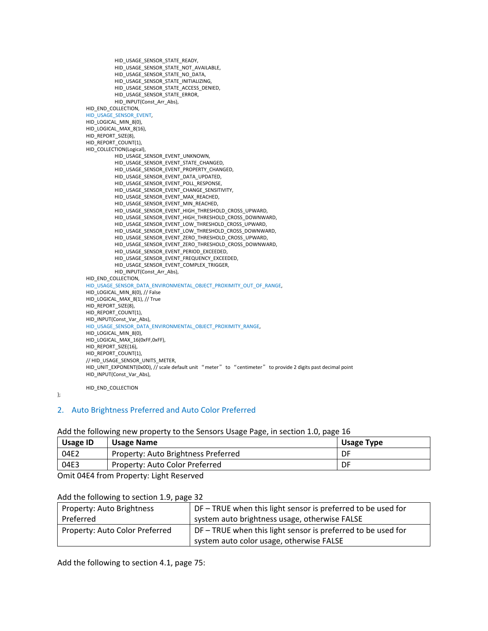```
HID_USAGE_SENSOR_STATE_READY, 
          HID_USAGE_SENSOR_STATE_NOT_AVAILABLE,
          HID_USAGE_SENSOR_STATE_NO_DATA, 
          HID_USAGE_SENSOR_STATE_INITIALIZING, 
          HID_USAGE_SENSOR_STATE_ACCESS_DENIED, 
          HID_USAGE_SENSOR_STATE_ERROR,
          HID_INPUT(Const_Arr_Abs), 
HID_END_COLLECTION, 
HID_USAGE_SENSOR_EVENT, 
HID_LOGICAL_MIN_8(0),
HID_LOGICAL_MAX_8(16),
HID_REPORT_SIZE(8), 
HID_REPORT_COUNT(1), 
HID_COLLECTION(Logical), 
          HID_USAGE_SENSOR_EVENT_UNKNOWN,
          HID_USAGE_SENSOR_EVENT_STATE_CHANGED, 
          HID_USAGE_SENSOR_EVENT_PROPERTY_CHANGED, 
          HID_USAGE_SENSOR_EVENT_DATA_UPDATED, 
          HID_USAGE_SENSOR_EVENT_POLL_RESPONSE,
          HID_USAGE_SENSOR_EVENT_CHANGE_SENSITIVITY,
          HID_USAGE_SENSOR_EVENT_MAX_REACHED, 
          HID_USAGE_SENSOR_EVENT_MIN_REACHED, 
          HID_USAGE_SENSOR_EVENT_HIGH_THRESHOLD_CROSS_UPWARD, 
          HID_USAGE_SENSOR_EVENT_HIGH_THRESHOLD_CROSS_DOWNWARD,
          HID_USAGE_SENSOR_EVENT_LOW_THRESHOLD_CROSS_UPWARD, 
          HID_USAGE_SENSOR_EVENT_LOW_THRESHOLD_CROSS_DOWNWARD, 
          HID_USAGE_SENSOR_EVENT_ZERO_THRESHOLD_CROSS_UPWARD, 
          HID_USAGE_SENSOR_EVENT_ZERO_THRESHOLD_CROSS_DOWNWARD, 
          HID_USAGE_SENSOR_EVENT_PERIOD_EXCEEDED, 
          HID_USAGE_SENSOR_EVENT_FREQUENCY_EXCEEDED, 
          HID_USAGE_SENSOR_EVENT_COMPLEX_TRIGGER, 
          HID_INPUT(Const_Arr_Abs),
HID_END_COLLECTION.
HID_USAGE_SENSOR_DATA_ENVIRONMENTAL_OBJECT_PROXIMITY_OUT_OF_RANGE, 
HID_LOGICAL_MIN_8(0), // False 
HID_LOGICAL_MAX_8(1), // True 
HID_REPORT_SIZE(8),
HID_REPORT_COUNT(1), 
HID_INPUT(Const_Var_Abs), 
HID_USAGE_SENSOR_DATA_ENVIRONMENTAL_OBJECT_PROXIMITY_RANGE,
HID_LOGICAL_MIN_8(0), 
HID_LOGICAL_MAX_16(0xFF,0xFF), 
HID_REPORT_SIZE(16), 
HID_REPORT_COUNT(1),
// HID_USAGE_SENSOR_UNITS_METER, 
HID_UNIT_EXPONENT(0x0D), // scale default unit "meter" to "centimeter" to provide 2 digits past decimal point 
HID_INPUT(Const_Var_Abs),
```
HID\_END\_COLLECTION

};

# 2. Auto Brightness Preferred and Auto Color Preferred

## Add the following new property to the Sensors Usage Page, in section 1.0, page 16

| <b>Usage ID</b> | <b>Usage Name</b>                   | Usage Type |
|-----------------|-------------------------------------|------------|
| 04E2            | Property: Auto Brightness Preferred | DF         |
| 04E3            | Property: Auto Color Preferred      | DF         |

Omit 04E4 from Property: Light Reserved

# Add the following to section 1.9, page 32

| Property: Auto Brightness      | DF – TRUE when this light sensor is preferred to be used for                                             |
|--------------------------------|----------------------------------------------------------------------------------------------------------|
| Preferred                      | system auto brightness usage, otherwise FALSE                                                            |
| Property: Auto Color Preferred | DF – TRUE when this light sensor is preferred to be used for<br>system auto color usage, otherwise FALSE |

Add the following to section 4.1, page 75: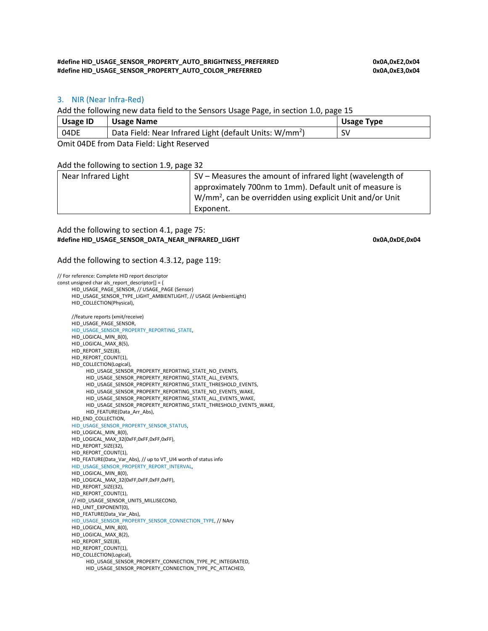#### **#define HID\_USAGE\_SENSOR\_PROPERTY\_AUTO\_BRIGHTNESS\_PREFERRED 0x0A,0xE2,0x04 #define HID\_USAGE\_SENSOR\_PROPERTY\_AUTO\_COLOR\_PREFERRED 0x0A,0xE3,0x04**

## 3. NIR (Near Infra‐Red)

Add the following new data field to the Sensors Usage Page, in section 1.0, page 15

| <b>Usage ID</b> | Usage Name                                                          | Usage Type |
|-----------------|---------------------------------------------------------------------|------------|
| 04DE            | Data Field: Near Infrared Light (default Units: W/mm <sup>2</sup> ) | S٧         |

Omit 04DE from Data Field: Light Reserved

Add the following to section 1.9, page 32

| Near Infrared Light | SV – Measures the amount of infrared light (wavelength of             |
|---------------------|-----------------------------------------------------------------------|
|                     | approximately 700nm to 1mm). Default unit of measure is               |
|                     | W/mm <sup>2</sup> , can be overridden using explicit Unit and/or Unit |
|                     | Exponent.                                                             |

#### Add the following to section 4.1, page 75: **#define HID\_USAGE\_SENSOR\_DATA\_NEAR\_INFRARED\_LIGHT 0x0A,0xDE,0x04**

#### Add the following to section 4.3.12, page 119:

// For reference: Complete HID report descriptor const unsigned char als report descriptor $[] = {$ HID\_USAGE\_PAGE\_SENSOR, // USAGE\_PAGE (Sensor) HID\_USAGE\_SENSOR\_TYPE\_LIGHT\_AMBIENTLIGHT, // USAGE (AmbientLight) HID\_COLLECTION(Physical), //feature reports (xmit/receive) HID\_USAGE\_PAGE\_SENSOR, HID\_USAGE\_SENSOR\_PROPERTY\_REPORTING\_STATE, HID\_LOGICAL\_MIN\_8(0), HID\_LOGICAL\_MAX\_8(5), HID\_REPORT\_SIZE(8), HID\_REPORT\_COUNT(1), HID\_COLLECTION(Logical), HID\_USAGE\_SENSOR\_PROPERTY\_REPORTING\_STATE\_NO\_EVENTS, HID\_USAGE\_SENSOR\_PROPERTY\_REPORTING\_STATE\_ALL\_EVENTS, HID\_USAGE\_SENSOR\_PROPERTY\_REPORTING\_STATE\_THRESHOLD\_EVENTS, HID\_USAGE\_SENSOR\_PROPERTY\_REPORTING\_STATE\_NO\_EVENTS\_WAKE, HID\_USAGE\_SENSOR\_PROPERTY\_REPORTING\_STATE\_ALL\_EVENTS\_WAKE, HID\_USAGE\_SENSOR\_PROPERTY\_REPORTING\_STATE\_THRESHOLD\_EVENTS\_WAKE, HID\_FEATURE(Data\_Arr\_Abs), HID\_END\_COLLECTION, HID\_USAGE\_SENSOR\_PROPERTY\_SENSOR\_STATUS, HID\_LOGICAL\_MIN\_8(0), HID\_LOGICAL\_MAX\_32(0xFF,0xFF,0xFF,0xFF), HID\_REPORT\_SIZE(32), HID\_REPORT\_COUNT(1), HID\_FEATURE(Data\_Var\_Abs), // up to VT\_UI4 worth of status info HID\_USAGE\_SENSOR\_PROPERTY\_REPORT\_INTERVAL, HID\_LOGICAL\_MIN\_8(0), HID\_LOGICAL\_MAX\_32(0xFF,0xFF,0xFF,0xFF), HID\_REPORT\_SIZE(32), HID\_REPORT\_COUNT(1), // HID\_USAGE\_SENSOR\_UNITS\_MILLISECOND, HID\_UNIT\_EXPONENT(0), HID\_FEATURE(Data\_Var\_Abs), HID\_USAGE\_SENSOR\_PROPERTY\_SENSOR\_CONNECTION\_TYPE, // NAry HID\_LOGICAL\_MIN\_8(0), HID\_LOGICAL\_MAX\_8(2), HID\_REPORT\_SIZE(8). HID\_REPORT\_COUNT(1), HID\_COLLECTION(Logical), HID\_USAGE\_SENSOR\_PROPERTY\_CONNECTION\_TYPE\_PC\_INTEGRATED, HID\_USAGE\_SENSOR\_PROPERTY\_CONNECTION\_TYPE\_PC\_ATTACHED,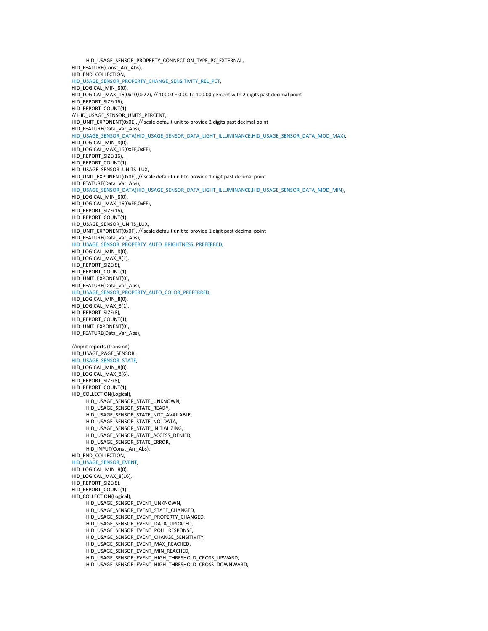HID\_USAGE\_SENSOR\_PROPERTY\_CONNECTION\_TYPE\_PC\_EXTERNAL, HID\_FEATURE(Const\_Arr\_Abs), HID\_END\_COLLECTION, HID\_USAGE\_SENSOR\_PROPERTY\_CHANGE\_SENSITIVITY\_REL\_PCT, HID\_LOGICAL\_MIN\_8(0), HID\_LOGICAL\_MAX\_16(0x10,0x27), // 10000 = 0.00 to 100.00 percent with 2 digits past decimal point HID\_REPORT\_SIZE(16), HID\_REPORT\_COUNT(1), // HID\_USAGE\_SENSOR\_UNITS\_PERCENT,  $HID_UNIT_EXPONENT(0x0E)$ , // scale default unit to provide 2 digits past decimal point HID\_FEATURE(Data\_Var\_Abs), HID\_USAGE\_SENSOR\_DATA(HID\_USAGE\_SENSOR\_DATA\_LIGHT\_ILLUMINANCE,HID\_USAGE\_SENSOR\_DATA\_MOD\_MAX), HID\_LOGICAL\_MIN\_8(0), HID\_LOGICAL\_MAX\_16(0xFF,0xFF),  $HD$  REPORT SIZE(16), HID\_REPORT\_COUNT(1), HID\_USAGE\_SENSOR\_UNITS\_LUX, HID\_UNIT\_EXPONENT(0x0F), // scale default unit to provide 1 digit past decimal point HID\_FEATURE(Data\_Var\_Abs), HID\_USAGE\_SENSOR\_DATA(HID\_USAGE\_SENSOR\_DATA\_LIGHT\_ILLUMINANCE,HID\_USAGE\_SENSOR\_DATA\_MOD\_MIN), HID\_LOGICAL\_MIN\_8(0), HID\_LOGICAL\_MAX\_16(0xFF,0xFF), HID\_REPORT\_SIZE(16), HID\_REPORT\_COUNT(1). HID\_USAGE\_SENSOR\_UNITS\_LUX, HID\_UNIT\_EXPONENT(0x0F), // scale default unit to provide 1 digit past decimal point HID\_FEATURE(Data\_Var\_Abs), HID\_USAGE\_SENSOR\_PROPERTY\_AUTO\_BRIGHTNESS\_PREFERRED, HID\_LOGICAL\_MIN\_8(0), HID\_LOGICAL\_MAX\_8(1), HID\_REPORT\_SIZE(8), HID\_REPORT\_COUNT(1), HID\_UNIT\_EXPONENT(0), HID\_FEATURE(Data\_Var\_Abs), HID\_USAGE\_SENSOR\_PROPERTY\_AUTO\_COLOR\_PREFERRED, HID\_LOGICAL\_MIN\_8(0), HID\_LOGICAL\_MAX\_8(1), HID\_REPORT\_SIZE(8), HID\_REPORT\_COUNT(1), HID\_UNIT\_EXPONENT(0), HID\_FEATURE(Data\_Var\_Abs), //input reports (transmit) HID\_USAGE\_PAGE\_SENSOR, HID\_USAGE\_SENSOR\_STATE, HID\_LOGICAL\_MIN\_8(0), HID\_LOGICAL\_MAX\_8(6), HID\_REPORT\_SIZE(8), HID\_REPORT\_COUNT(1). HID\_COLLECTION(Logical), HID\_USAGE\_SENSOR\_STATE\_UNKNOWN, HID\_USAGE\_SENSOR\_STATE\_READY, HID\_USAGE\_SENSOR\_STATE\_NOT\_AVAILABLE, HID\_USAGE\_SENSOR\_STATE\_NO\_DATA, HID\_USAGE\_SENSOR\_STATE\_INITIALIZING, HID\_USAGE\_SENSOR\_STATE\_ACCESS\_DENIED, HID\_USAGE\_SENSOR\_STATE\_ERROR, HID\_INPUT(Const\_Arr\_Abs), HID\_END\_COLLECTION, HID\_USAGE\_SENSOR\_EVENT, HID\_LOGICAL\_MIN\_8(0), HID\_LOGICAL\_MAX\_8(16), HID\_REPORT\_SIZE(8), HID\_REPORT\_COUNT(1), HID\_COLLECTION(Logical), HID\_USAGE\_SENSOR\_EVENT\_UNKNOWN, HID\_USAGE\_SENSOR\_EVENT\_STATE\_CHANGED, HID\_USAGE\_SENSOR\_EVENT\_PROPERTY\_CHANGED, HID\_USAGE\_SENSOR\_EVENT\_DATA\_UPDATED, HID\_USAGE\_SENSOR\_EVENT\_POLL\_RESPONSE, HID\_USAGE\_SENSOR\_EVENT\_CHANGE\_SENSITIVITY, HID\_USAGE\_SENSOR\_EVENT\_MAX\_REACHED, HID\_USAGE\_SENSOR\_EVENT\_MIN\_REACHED, HID\_USAGE\_SENSOR\_EVENT\_HIGH\_THRESHOLD\_CROSS\_UPWARD, HID\_USAGE\_SENSOR\_EVENT\_HIGH\_THRESHOLD\_CROSS\_DOWNWARD,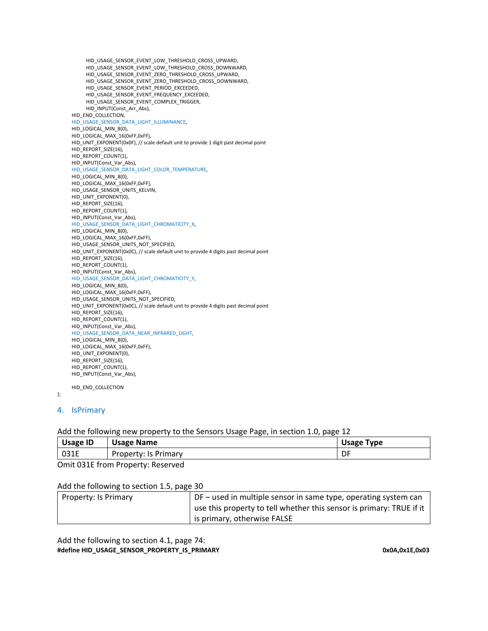```
HID_USAGE_SENSOR_EVENT_LOW_THRESHOLD_CROSS_UPWARD, 
     HID_USAGE_SENSOR_EVENT_LOW_THRESHOLD_CROSS_DOWNWARD,
     HID_USAGE_SENSOR_EVENT_ZERO_THRESHOLD_CROSS_UPWARD, 
     HID_USAGE_SENSOR_EVENT_ZERO_THRESHOLD_CROSS_DOWNWARD, 
     HID_USAGE_SENSOR_EVENT_PERIOD_EXCEEDED, 
     HID_USAGE_SENSOR_EVENT_FREQUENCY_EXCEEDED,
     HID_USAGE_SENSOR_EVENT_COMPLEX_TRIGGER, 
    HID_INPUT(Const_Arr_Abs), 
HID_END_COLLECTION, 
HID_USAGE_SENSOR_DATA_LIGHT_ILLUMINANCE, 
HID_LOGICAL_MIN_8(0),
HID_LOGICAL_MAX_16(0xFF,0xFF), 
HID_UNIT_EXPONENT(0x0F), // scale default unit to provide 1 digit past decimal point 
HID_REPORT_SIZE(16), 
HID_REPORT_COUNT(1),
HID_INPUT(Const_Var_Abs), 
HID_USAGE_SENSOR_DATA_LIGHT_COLOR_TEMPERATURE, 
HID_LOGICAL_MIN_8(0), 
HID_LOGICAL_MAX_16(0xFF,0xFF),
HID_USAGE_SENSOR_UNITS_KELVIN,
HID_UNIT_EXPONENT(0), 
HID_REPORT_SIZE(16), 
HID_REPORT_COUNT(1), 
HID_INPUT(Const_Var_Abs), 
HID_USAGE_SENSOR_DATA_LIGHT_CHROMATICITY_X, 
HID_LOGICAL_MIN_8(0), 
HID_LOGICAL_MAX_16(0xFF,0xFF), 
HID_USAGE_SENSOR_UNITS_NOT_SPECIFIED,
HID_UNIT_EXPONENT(0x0C), // scale default unit to provide 4 digits past decimal point 
HID_REPORT_SIZE(16), 
HID_REPORT_COUNT(1), 
HID_INPUT(Const_Var_Abs), 
HID_USAGE_SENSOR_DATA_LIGHT_CHROMATICITY_Y, 
HID_LOGICAL_MIN_8(0), 
HID_LOGICAL_MAX_16(0xFF,0xFF), 
HID_USAGE_SENSOR_UNITS_NOT_SPECIFIED, 
HID_UNIT_EXPONENT(0x0C), // scale default unit to provide 4 digits past decimal point 
HID_REPORT_SIZE(16), 
HID_REPORT_COUNT(1), 
HID_INPUT(Const_Var_Abs),
HID_USAGE_SENSOR_DATA_NEAR_INFRARED_LIGHT, 
HID_LOGICAL_MIN_8(0), 
HID_LOGICAL_MAX_16(0xFF,0xFF), 
HID_UNIT_EXPONENT(0),
HID_REPORT_SIZE(16),
HID_REPORT_COUNT(1), 
HID_INPUT(Const_Var_Abs),
```

```
HID_END_COLLECTION
```

```
};
```
# 4. IsPrimary

# Add the following new property to the Sensors Usage Page, in section 1.0, page 12

| <b>Usage ID</b> | <b>Usage Name</b>    | Usage <sup>-</sup><br>туре |
|-----------------|----------------------|----------------------------|
| 031E            | Property: Is Primary | DI                         |

Omit 031E from Property: Reserved

# Add the following to section 1.5, page 30

| Property: Is Primary | DF – used in multiple sensor in same type, operating system can      |
|----------------------|----------------------------------------------------------------------|
|                      | use this property to tell whether this sensor is primary: TRUE if it |
|                      | is primary, otherwise FALSE                                          |

Add the following to section 4.1, page 74: **#define HID\_USAGE\_SENSOR\_PROPERTY\_IS\_PRIMARY 0x0A,0x1E,0x03**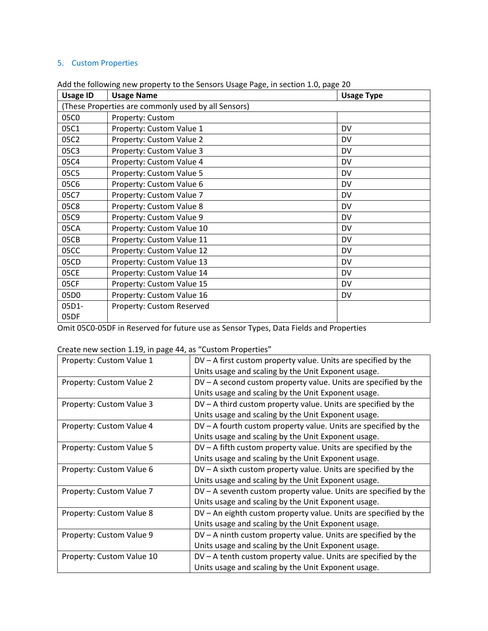# 5. Custom Properties

| <b>Usage ID</b>                                     | <b>Usage Name</b>         | <b>Usage Type</b> |
|-----------------------------------------------------|---------------------------|-------------------|
| (These Properties are commonly used by all Sensors) |                           |                   |
| 05C0                                                | Property: Custom          |                   |
| 05C1                                                | Property: Custom Value 1  | DV                |
| 05C2                                                | Property: Custom Value 2  | <b>DV</b>         |
| 05C3                                                | Property: Custom Value 3  | DV                |
| 05C4                                                | Property: Custom Value 4  | DV                |
| 05C5                                                | Property: Custom Value 5  | DV                |
| 05C6                                                | Property: Custom Value 6  | DV                |
| 05C7                                                | Property: Custom Value 7  | DV                |
| 05C8                                                | Property: Custom Value 8  | DV                |
| 05C9                                                | Property: Custom Value 9  | DV                |
| 05CA                                                | Property: Custom Value 10 | DV                |
| 05CB                                                | Property: Custom Value 11 | <b>DV</b>         |
| 05CC                                                | Property: Custom Value 12 | DV                |
| 05CD                                                | Property: Custom Value 13 | DV                |
| 05CE                                                | Property: Custom Value 14 | DV                |
| 05CF                                                | Property: Custom Value 15 | <b>DV</b>         |
| 05D0                                                | Property: Custom Value 16 | DV                |
| 05D1-                                               | Property: Custom Reserved |                   |
| 05DF                                                |                           |                   |

Add the following new property to the Sensors Usage Page, in section 1.0, page 20

Omit 05C0‐05DF in Reserved for future use as Sensor Types, Data Fields and Properties

# Create new section 1.19, in page 44, as "Custom Properties"

| Property: Custom Value 1  | $DV - A$ first custom property value. Units are specified by the  |
|---------------------------|-------------------------------------------------------------------|
|                           | Units usage and scaling by the Unit Exponent usage.               |
| Property: Custom Value 2  | $DV - A$ second custom property value. Units are specified by the |
|                           | Units usage and scaling by the Unit Exponent usage.               |
| Property: Custom Value 3  | $DV - A$ third custom property value. Units are specified by the  |
|                           | Units usage and scaling by the Unit Exponent usage.               |
| Property: Custom Value 4  | DV - A fourth custom property value. Units are specified by the   |
|                           | Units usage and scaling by the Unit Exponent usage.               |
| Property: Custom Value 5  | $DV - A$ fifth custom property value. Units are specified by the  |
|                           | Units usage and scaling by the Unit Exponent usage.               |
| Property: Custom Value 6  | $DV - A$ sixth custom property value. Units are specified by the  |
|                           | Units usage and scaling by the Unit Exponent usage.               |
| Property: Custom Value 7  | DV - A seventh custom property value. Units are specified by the  |
|                           | Units usage and scaling by the Unit Exponent usage.               |
| Property: Custom Value 8  | DV - An eighth custom property value. Units are specified by the  |
|                           | Units usage and scaling by the Unit Exponent usage.               |
| Property: Custom Value 9  | $DV - A$ ninth custom property value. Units are specified by the  |
|                           | Units usage and scaling by the Unit Exponent usage.               |
| Property: Custom Value 10 | $DV - A$ tenth custom property value. Units are specified by the  |
|                           | Units usage and scaling by the Unit Exponent usage.               |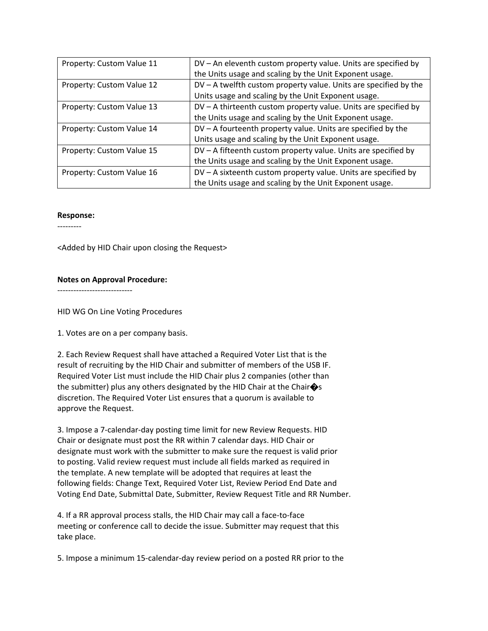| Property: Custom Value 11 | DV – An eleventh custom property value. Units are specified by     |
|---------------------------|--------------------------------------------------------------------|
|                           | the Units usage and scaling by the Unit Exponent usage.            |
| Property: Custom Value 12 | $DV - A$ twelfth custom property value. Units are specified by the |
|                           | Units usage and scaling by the Unit Exponent usage.                |
| Property: Custom Value 13 | DV - A thirteenth custom property value. Units are specified by    |
|                           | the Units usage and scaling by the Unit Exponent usage.            |
| Property: Custom Value 14 | DV - A fourteenth property value. Units are specified by the       |
|                           | Units usage and scaling by the Unit Exponent usage.                |
| Property: Custom Value 15 | DV - A fifteenth custom property value. Units are specified by     |
|                           | the Units usage and scaling by the Unit Exponent usage.            |
| Property: Custom Value 16 | DV - A sixteenth custom property value. Units are specified by     |
|                           | the Units usage and scaling by the Unit Exponent usage.            |

#### **Response:**

‐‐‐‐‐‐‐‐‐

<Added by HID Chair upon closing the Request>

## **Notes on Approval Procedure:**

‐‐‐‐‐‐‐‐‐‐‐‐‐‐‐‐‐‐‐‐‐‐‐‐‐‐‐‐

HID WG On Line Voting Procedures

1. Votes are on a per company basis.

2. Each Review Request shall have attached a Required Voter List that is the result of recruiting by the HID Chair and submitter of members of the USB IF. Required Voter List must include the HID Chair plus 2 companies (other than the submitter) plus any others designated by the HID Chair at the Chair $\hat{\bullet}$ s discretion. The Required Voter List ensures that a quorum is available to approve the Request.

3. Impose a 7‐calendar‐day posting time limit for new Review Requests. HID Chair or designate must post the RR within 7 calendar days. HID Chair or designate must work with the submitter to make sure the request is valid prior to posting. Valid review request must include all fields marked as required in the template. A new template will be adopted that requires at least the following fields: Change Text, Required Voter List, Review Period End Date and Voting End Date, Submittal Date, Submitter, Review Request Title and RR Number.

4. If a RR approval process stalls, the HID Chair may call a face‐to‐face meeting or conference call to decide the issue. Submitter may request that this take place.

5. Impose a minimum 15‐calendar‐day review period on a posted RR prior to the